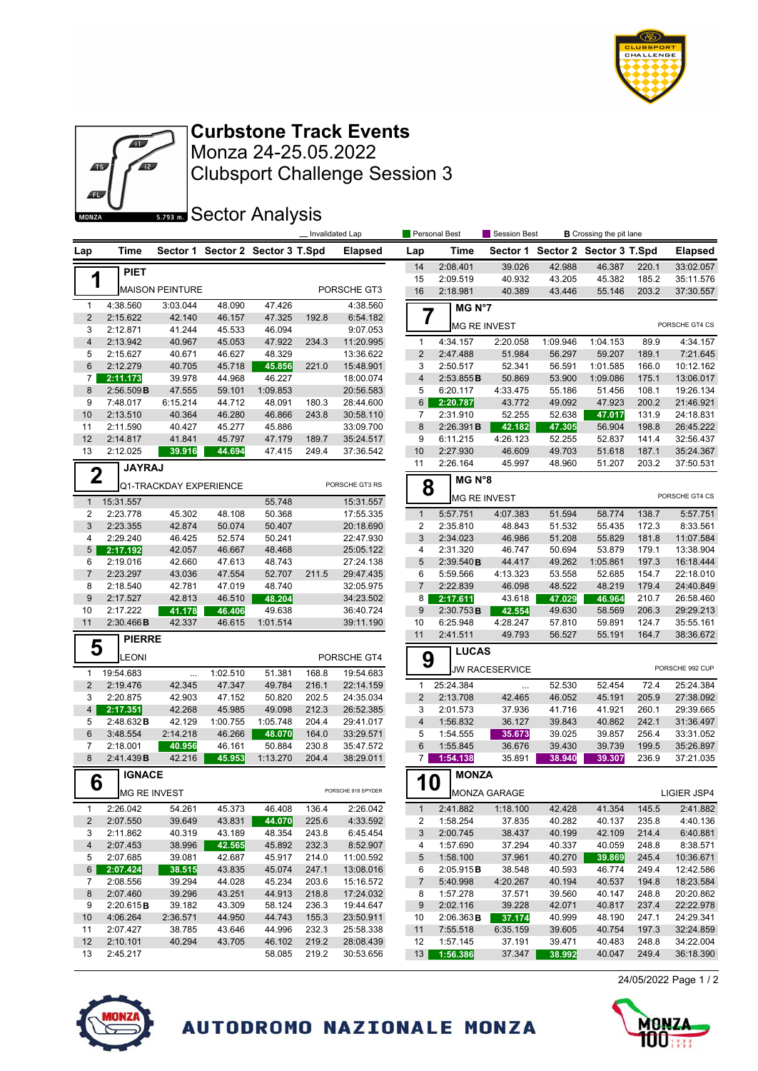

24/05/2022 Page 1 / 2



Clubsport Challenge Session 3 Monza 24-25.05.2022 **Curbstone Track Events**

**Sector Analysis** 

|                         |                       |                        |                  |                                  |                | Invalidated Lap        |                     | Personal Best         | <b>Session Best</b>   |                  | <b>B</b> Crossing the pit lane   |                |                        |
|-------------------------|-----------------------|------------------------|------------------|----------------------------------|----------------|------------------------|---------------------|-----------------------|-----------------------|------------------|----------------------------------|----------------|------------------------|
| Lap                     | Time                  |                        |                  | Sector 1 Sector 2 Sector 3 T.Spd |                | <b>Elapsed</b>         | Lap                 | Time                  |                       |                  | Sector 1 Sector 2 Sector 3 T.Spd |                | <b>Elapsed</b>         |
|                         | <b>PIET</b>           |                        |                  |                                  |                |                        | 14                  | 2:08.401              | 39.026                | 42.988           | 46.387                           | 220.1          | 33:02.057              |
| 1                       |                       |                        |                  |                                  |                |                        | 15                  | 2:09.519              | 40.932                | 43.205           | 45.382                           | 185.2          | 35:11.576              |
|                         |                       | <b>MAISON PEINTURE</b> |                  |                                  |                | PORSCHE GT3            | 16                  | 2:18.981              | 40.389                | 43.446           | 55.146                           | 203.2          | 37:30.557              |
| $\mathbf{1}$            | 4:38.560              | 3:03.044               | 48.090           | 47.426                           |                | 4:38.560               |                     | MG N°7                |                       |                  |                                  |                |                        |
| $\sqrt{2}$              | 2:15.622              | 42.140                 | 46.157           | 47.325                           | 192.8          | 6:54.182               | 7                   |                       |                       |                  |                                  |                | PORSCHE GT4 CS         |
| 3                       | 2:12.871              | 41.244                 | 45.533           | 46.094                           |                | 9:07.053               |                     |                       | <b>MG RE INVEST</b>   |                  |                                  |                |                        |
| $\overline{\mathbf{4}}$ | 2:13.942              | 40.967                 | 45.053           | 47.922                           | 234.3          | 11:20.995              | 1                   | 4:34.157              | 2:20.058              | 1:09.946         | 1:04.153                         | 89.9           | 4:34.157               |
| 5                       | 2:15.627              | 40.671                 | 46.627           | 48.329                           |                | 13:36.622              | $\overline{2}$      | 2:47.488              | 51.984                | 56.297           | 59.207                           | 189.1          | 7:21.645               |
| 6                       | 2:12.279              | 40.705                 | 45.718           | 45.856                           | 221.0          | 15:48.901              | 3                   | 2:50.517              | 52.341                | 56.591           | 1:01.585                         | 166.0          | 10:12.162              |
| 7 <sup>1</sup><br>8     | 2:11.173              | 39.978                 | 44.968           | 46.227                           |                | 18:00.074<br>20:56.583 | $\overline{4}$<br>5 | 2:53.855B<br>6:20.117 | 50.869                | 53.900           | 1:09.086                         | 175.1          | 13:06.017              |
| 9                       | 2:56.509B<br>7:48.017 | 47.555<br>6:15.214     | 59.101<br>44.712 | 1:09.853<br>48.091               | 180.3          | 28:44.600              | $6 \mid$            | 2:20.787              | 4:33.475<br>43.772    | 55.186<br>49.092 | 51.456<br>47.923                 | 108.1<br>200.2 | 19:26.134<br>21:46.921 |
| 10                      | 2:13.510              | 40.364                 | 46.280           | 46.866                           | 243.8          | 30:58.110              | 7                   | 2:31.910              | 52.255                | 52.638           | 47.017                           | 131.9          | 24:18.831              |
| 11                      | 2:11.590              | 40.427                 | 45.277           | 45.886                           |                | 33:09.700              | 8                   | 2:26.391B             | 42.182                | 47.305           | 56.904                           | 198.8          | 26:45.222              |
| 12                      | 2:14.817              | 41.841                 | 45.797           | 47.179                           | 189.7          | 35:24.517              | 9                   | 6:11.215              | 4:26.123              | 52.255           | 52.837                           | 141.4          | 32:56.437              |
| 13                      | 2:12.025              | 39.916                 | 44.694           | 47.415                           | 249.4          | 37:36.542              | 10                  | 2:27.930              | 46.609                | 49.703           | 51.618                           | 187.1          | 35:24.367              |
|                         | <b>JAYRAJ</b>         |                        |                  |                                  |                |                        | 11                  | 2:26.164              | 45.997                | 48.960           | 51.207                           | 203.2          | 37:50.531              |
| $\overline{2}$          |                       |                        |                  |                                  |                |                        |                     | MG N°8                |                       |                  |                                  |                |                        |
|                         |                       | Q1-TRACKDAY EXPERIENCE |                  |                                  |                | PORSCHE GT3 RS         | 8                   |                       |                       |                  |                                  |                |                        |
|                         | 1 15:31.557           |                        |                  | 55.748                           |                | 15:31.557              |                     |                       | <b>MG RE INVEST</b>   |                  |                                  |                | PORSCHE GT4 CS         |
| $\overline{2}$          | 2:23.778              | 45.302                 | 48.108           | 50.368                           |                | 17:55.335              | $\mathbf{1}$        | 5:57.751              | 4:07.383              | 51.594           | 58.774                           | 138.7          | 5:57.751               |
| 3                       | 2:23.355              | 42.874                 | 50.074           | 50.407                           |                | 20:18.690              | 2                   | 2:35.810              | 48.843                | 51.532           | 55.435                           | 172.3          | 8:33.561               |
| 4                       | 2:29.240              | 46.425                 | 52.574           | 50.241                           |                | 22:47.930              | 3                   | 2:34.023              | 46.986                | 51.208           | 55.829                           | 181.8          | 11:07.584              |
| 5 <sup>5</sup>          | 2:17.192              | 42.057                 | 46.667           | 48.468                           |                | 25:05.122              | 4                   | 2:31.320              | 46.747                | 50.694           | 53.879                           | 179.1          | 13:38.904              |
| 6                       | 2:19.016              | 42.660                 | 47.613           | 48.743                           |                | 27:24.138              | 5                   | 2:39.540B             | 44.417                | 49.262           | 1:05.861                         | 197.3          | 16:18.444              |
| $\overline{7}$          | 2:23.297              | 43.036                 | 47.554           | 52.707                           | 211.5          | 29:47.435              | 6                   | 5:59.566              | 4:13.323              | 53.558           | 52.685                           | 154.7          | 22:18.010              |
| 8                       | 2:18.540              | 42.781                 | 47.019           | 48.740                           |                | 32:05.975              | $\overline{7}$      | 2:22.839              | 46.098                | 48.522           | 48.219                           | 179.4          | 24:40.849              |
| $9\,$                   | 2:17.527              | 42.813                 | 46.510           | 48.204                           |                | 34:23.502              | 8                   | 2:17.611              | 43.618                | 47.029           | 46.964                           | 210.7          | 26:58.460              |
| 10                      | 2:17.222              | 41.178                 | 46.406           | 49.638                           |                | 36:40.724              | 9                   | 2:30.753B             | 42.554                | 49.630           | 58.569                           | 206.3          | 29:29.213              |
| 11                      | 2:30.466B             | 42.337                 | 46.615           | 1:01.514                         |                | 39:11.190              | 10<br>11            | 6:25.948<br>2:41.511  | 4:28.247<br>49.793    | 57.810<br>56.527 | 59.891<br>55.191                 | 124.7<br>164.7 | 35:55.161<br>38:36.672 |
| 5                       | <b>PIERRE</b>         |                        |                  |                                  |                |                        |                     |                       |                       |                  |                                  |                |                        |
|                         | LEONI                 |                        |                  |                                  |                | PORSCHE GT4            | 9                   | <b>LUCAS</b>          |                       |                  |                                  |                |                        |
| $\mathbf{1}$            | 19:54.683             | $\cdots$               | 1:02.510         | 51.381                           | 168.8          | 19:54.683              |                     |                       | <b>JW RACESERVICE</b> |                  |                                  |                | PORSCHE 992 CUP        |
| $\overline{2}$          | 2:19.476              | 42.345                 | 47.347           | 49.784                           | 216.1          | 22:14.159              | 1                   | 25:24.384             | $\cdots$              | 52.530           | 52.454                           | 72.4           | 25:24.384              |
| 3                       | 2:20.875              | 42.903                 | 47.152           | 50.820                           | 202.5          | 24:35.034              | $\overline{2}$      | 2:13.708              | 42.465                | 46.052           | 45.191                           | 205.9          | 27:38.092              |
| $\overline{4}$          | 2:17.351              | 42.268                 | 45.985           | 49.098                           | 212.3          | 26:52.385              | 3                   | 2:01.573              | 37.936                | 41.716           | 41.921                           | 260.1          | 29:39.665              |
| 5                       | 2:48.632 B            | 42.129                 | 1:00.755         | 1:05.748                         | 204.4          | 29:41.017              | 4                   | 1:56.832              | 36.127                | 39.843           | 40.862                           | 242.1          | 31:36.497              |
| $6\phantom{1}$          | 3:48.554              | 2:14.218               | 46.266           | 48.070                           | 164.0          | 33:29.571              | 5                   | 1:54.555              | 35.673                | 39.025           | 39.857                           | 256.4          | 33:31.052              |
| $\overline{7}$          | 2:18.001              | 40.956                 | 46.161           | 50.884                           | 230.8          | 35:47.572              | 6                   | 1:55.845              | 36.676                | 39.430           | 39.739                           | 199.5          | 35:26.897              |
| 8                       | 2:41.439B             | 42.216                 | 45.953           | 1:13.270                         | 204.4          | 38:29.011              | 7                   | 1:54.138              | 35.891                | 38.940           | 39.307                           | 236.9          | 37:21.035              |
|                         | <b>IGNACE</b>         |                        |                  |                                  |                |                        |                     | <b>MONZA</b>          |                       |                  |                                  |                |                        |
| 6                       | <b>MG RE INVEST</b>   |                        |                  | PORSCHE 918 SPYDER               |                |                        | <b>10</b>           |                       |                       | LIGIER JSP4      |                                  |                |                        |
|                         |                       |                        |                  |                                  |                |                        |                     |                       | MONZA GARAGE          |                  |                                  |                |                        |
| $\mathbf{1}$            | 2:26.042              | 54.261                 | 45.373           | 46.408                           | 136.4          | 2:26.042               | $\mathbf{1}$        | 2:41.882              | 1:18.100              | 42.428           | 41.354                           | 145.5          | 2:41.882               |
| $\overline{c}$          | 2:07.550              | 39.649                 | 43.831           | 44.070                           | 225.6          | 4:33.592               | 2                   | 1:58.254              | 37.835                | 40.282           | 40.137                           | 235.8          | 4:40.136               |
| 3                       | 2:11.862              | 40.319                 | 43.189           | 48.354                           | 243.8          | 6:45.454               | 3                   | 2:00.745              | 38.437                | 40.199           | 42.109                           | 214.4          | 6:40.881               |
| $\overline{\mathbf{4}}$ | 2:07.453              | 38.996                 | 42.565           | 45.892                           | 232.3          | 8:52.907               | 4                   | 1:57.690              | 37.294                | 40.337           | 40.059                           | 248.8          | 8:38.571               |
| 5                       | 2:07.685              | 39.081                 | 42.687           | 45.917                           | 214.0          | 11:00.592              | 5                   | 1:58.100              | 37.961                | 40.270           | 39.869                           | 245.4          | 10:36.671              |
| $6 \mid$                | 2:07.424              | 38.515                 | 43.835           | 45.074                           | 247.1          | 13:08.016<br>15:16.572 | 6                   | 2:05.915B<br>5:40.998 | 38.548                | 40.593           | 46.774                           | 249.4          | 12:42.586              |
| 7<br>8                  | 2:08.556<br>2:07.460  | 39.294<br>39.296       | 44.028<br>43.251 | 45.234<br>44.913                 | 203.6<br>218.8 | 17:24.032              | $\overline{7}$<br>8 | 1:57.278              | 4:20.267<br>37.571    | 40.194<br>39.560 | 40.537<br>40.147                 | 194.8<br>248.8 | 18:23.584<br>20:20.862 |
| 9                       | 2:20.615B             | 39.182                 | 43.309           | 58.124                           | 236.3          | 19:44.647              | 9                   | 2:02.116              | 39.228                | 42.071           | 40.817                           | 237.4          | 22:22.978              |
| 10                      | 4:06.264              | 2:36.571               | 44.950           | 44.743                           | 155.3          | 23:50.911              | 10                  | 2:06.363B             | 37.174                | 40.999           | 48.190                           | 247.1          | 24:29.341              |
| 11                      | 2:07.427              | 38.785                 | 43.646           | 44.996                           | 232.3          | 25:58.338              | 11                  | 7:55.518              | 6:35.159              | 39.605           | 40.754                           | 197.3          | 32:24.859              |
| 12                      | 2:10.101              | 40.294                 | 43.705           | 46.102                           | 219.2          | 28:08.439              | 12                  | 1:57.145              | 37.191                | 39.471           | 40.483                           | 248.8          | 34:22.004              |
| 13                      | 2:45.217              |                        |                  | 58.085                           | 219.2          | 30:53.656              | 13 <sup>1</sup>     | 1:56.386              | 37.347                | 38.992           | 40.047                           | 249.4          | 36:18.390              |
|                         |                       |                        |                  |                                  |                |                        |                     |                       |                       |                  |                                  |                |                        |



AUTODROMO NAZIONALE MONZA